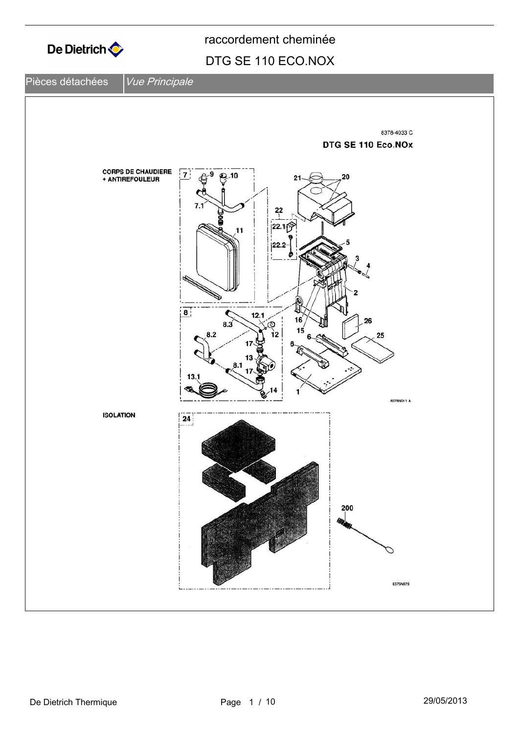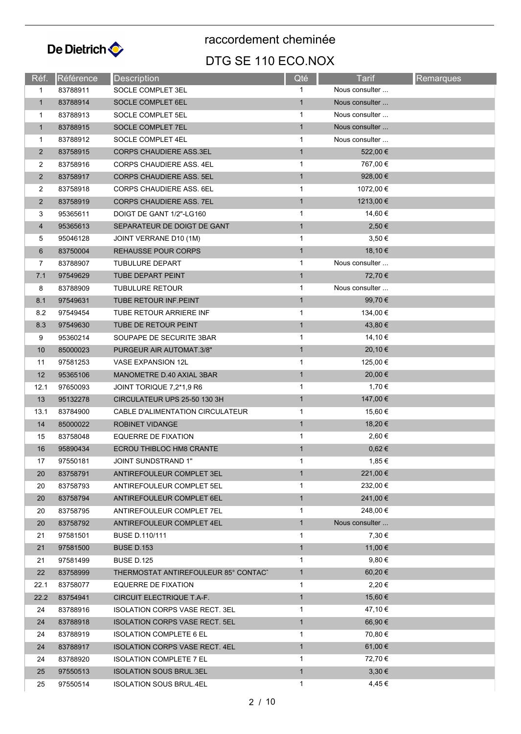

| Réf.           | Référence | Description                           | Qté          | <b>Tarif</b>      | Remarques |
|----------------|-----------|---------------------------------------|--------------|-------------------|-----------|
| 1              | 83788911  | SOCLE COMPLET 3EL                     | 1            | Nous consulter    |           |
| $\mathbf{1}$   | 83788914  | SOCLE COMPLET 6EL                     | $\mathbf{1}$ | Nous consulter    |           |
| 1              | 83788913  | SOCLE COMPLET 5EL                     | 1            | Nous consulter    |           |
| $\mathbf{1}$   | 83788915  | SOCLE COMPLET 7EL                     | $\mathbf{1}$ | Nous consulter    |           |
| $\mathbf{1}$   | 83788912  | SOCLE COMPLET 4EL                     | $\mathbf{1}$ | Nous consulter    |           |
| $\overline{2}$ | 83758915  | <b>CORPS CHAUDIERE ASS.3EL</b>        | $\mathbf{1}$ | 522,00 €          |           |
| 2              | 83758916  | <b>CORPS CHAUDIERE ASS, 4EL</b>       | $\mathbf{1}$ | 767,00 €          |           |
| $\overline{2}$ | 83758917  | <b>CORPS CHAUDIERE ASS, 5EL</b>       | $\mathbf{1}$ | 928,00 $\epsilon$ |           |
| 2              | 83758918  | <b>CORPS CHAUDIERE ASS. 6EL</b>       | 1            | 1072,00 €         |           |
| $\overline{2}$ | 83758919  | <b>CORPS CHAUDIERE ASS. 7EL</b>       | $\mathbf{1}$ | 1213,00 €         |           |
| 3              | 95365611  | DOIGT DE GANT 1/2"-LG160              | $\mathbf{1}$ | 14,60 €           |           |
| $\overline{4}$ | 95365613  | SEPARATEUR DE DOIGT DE GANT           | $\mathbf{1}$ | 2,50€             |           |
| 5              | 95046128  | JOINT VERRANE D10 (1M)                | 1            | $3,50 \in$        |           |
| 6              | 83750004  | <b>REHAUSSE POUR CORPS</b>            | $\mathbf{1}$ | 18,10 €           |           |
| 7              | 83788907  | TUBULURE DEPART                       | 1            | Nous consulter    |           |
| 7.1            | 97549629  | <b>TUBE DEPART PEINT</b>              | $\mathbf{1}$ | 72,70 €           |           |
| 8              | 83788909  | <b>TUBULURE RETOUR</b>                | 1            | Nous consulter    |           |
| 8.1            | 97549631  | TUBE RETOUR INF.PEINT                 | $\mathbf{1}$ | 99,70 €           |           |
| 8.2            | 97549454  | TUBE RETOUR ARRIERE INF               | $\mathbf{1}$ | 134,00 €          |           |
| 8.3            | 97549630  | TUBE DE RETOUR PEINT                  | $\mathbf{1}$ | 43,80 €           |           |
| 9              | 95360214  | SOUPAPE DE SECURITE 3BAR              | 1            | 14,10 €           |           |
| 10             | 85000023  | PURGEUR AIR AUTOMAT.3/8"              | $\mathbf{1}$ | $20,10 \in$       |           |
| 11             | 97581253  | VASE EXPANSION 12L                    | 1            | 125,00 €          |           |
| 12             | 95365106  | MANOMETRE D.40 AXIAL 3BAR             | $\mathbf{1}$ | 20,00 €           |           |
| 12.1           | 97650093  | JOINT TORIQUE 7,2*1,9 R6              | 1            | 1,70 €            |           |
| 13             | 95132278  | CIRCULATEUR UPS 25-50 130 3H          | $\mathbf{1}$ | 147,00 €          |           |
| 13.1           | 83784900  | CABLE D'ALIMENTATION CIRCULATEUR      | $\mathbf{1}$ | 15,60 €           |           |
| 14             | 85000022  | ROBINET VIDANGE                       | $\mathbf{1}$ | 18,20 €           |           |
| 15             | 83758048  | <b>EQUERRE DE FIXATION</b>            | $\mathbf{1}$ | 2,60€             |           |
| 16             | 95890434  | ECROU THIBLOC HM8 CRANTE              | $\mathbf{1}$ | $0,62 \in$        |           |
| 17             | 97550181  | JOINT SUNDSTRAND 1"                   |              | 1,85 €            |           |
| 20             | 83758791  | ANTIREFOULEUR COMPLET 3EL             | $\mathbf{1}$ | 221,00 €          |           |
| 20             | 83758793  | ANTIREFOULEUR COMPLET 5EL             | 1            | 232,00 €          |           |
| 20             | 83758794  | ANTIREFOULEUR COMPLET 6EL             | $\mathbf{1}$ | 241,00 €          |           |
| 20             | 83758795  | ANTIREFOULEUR COMPLET 7EL             | 1            | 248,00 €          |           |
| 20             | 83758792  | ANTIREFOULEUR COMPLET 4EL             | $\mathbf{1}$ | Nous consulter    |           |
| 21             | 97581501  | BUSE D.110/111                        | 1            | 7,30 €            |           |
| 21             | 97581500  | <b>BUSE D.153</b>                     | $\mathbf{1}$ | 11,00 €           |           |
| 21             | 97581499  | <b>BUSE D.125</b>                     | 1            | $9,80 \in$        |           |
| 22             | 83758999  | THERMOSTAT ANTIREFOULEUR 85° CONTACT  | $\mathbf{1}$ | 60,20 €           |           |
| 22.1           | 83758077  | EQUERRE DE FIXATION                   | 1            | 2,20€             |           |
| 22.2           | 83754941  | CIRCUIT ELECTRIQUE T.A-F.             | $\mathbf{1}$ | 15,60 €           |           |
| 24             | 83788916  | ISOLATION CORPS VASE RECT. 3EL        | 1            | 47,10 €           |           |
| 24             | 83788918  | <b>ISOLATION CORPS VASE RECT. 5EL</b> | $\mathbf{1}$ | 66,90 €           |           |
| 24             | 83788919  | <b>ISOLATION COMPLETE 6 EL</b>        | 1            | 70,80 €           |           |
| 24             | 83788917  | <b>ISOLATION CORPS VASE RECT. 4EL</b> | $\mathbf{1}$ | 61,00 €           |           |
| 24             | 83788920  | <b>ISOLATION COMPLETE 7 EL</b>        | 1            | 72,70 €           |           |
| 25             | 97550513  | <b>ISOLATION SOUS BRUL.3EL</b>        | $\mathbf{1}$ | $3,30 \in$        |           |
| 25             | 97550514  | ISOLATION SOUS BRUL.4EL               | 1            | 4,45 €            |           |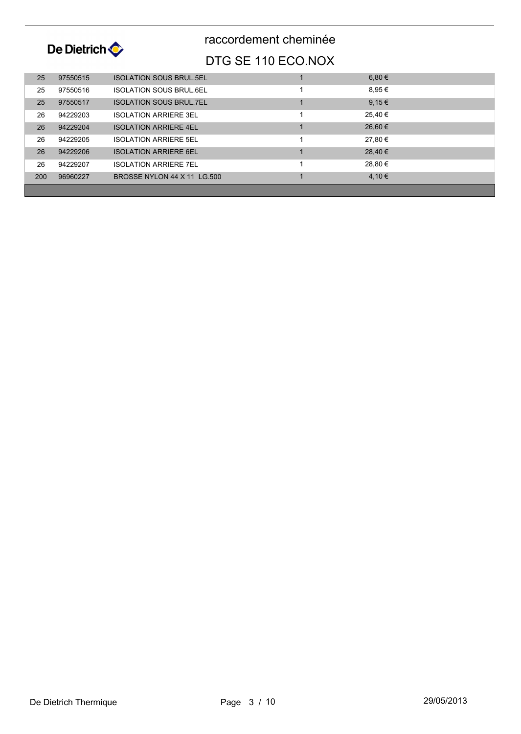

| 25  | 97550515 | <b>ISOLATION SOUS BRUL 5EL</b> | 6,80 €  |  |
|-----|----------|--------------------------------|---------|--|
| 25  | 97550516 | <b>ISOLATION SOUS BRUL 6EL</b> | 8,95€   |  |
| 25  | 97550517 | <b>ISOLATION SOUS BRUL 7EL</b> | 9,15€   |  |
| 26  | 94229203 | <b>ISOLATION ARRIERE 3EL</b>   | 25,40 € |  |
| 26  | 94229204 | <b>ISOLATION ARRIERE 4EL</b>   | 26,60 € |  |
| 26  | 94229205 | <b>ISOLATION ARRIERE 5EL</b>   | 27,80 € |  |
| 26  | 94229206 | <b>ISOLATION ARRIERE 6EL</b>   | 28,40 € |  |
| 26  | 94229207 | <b>ISOLATION ARRIERE 7EL</b>   | 28,80 € |  |
| 200 | 96960227 | BROSSE NYLON 44 X 11 LG.500    | 4,10€   |  |
|     |          |                                |         |  |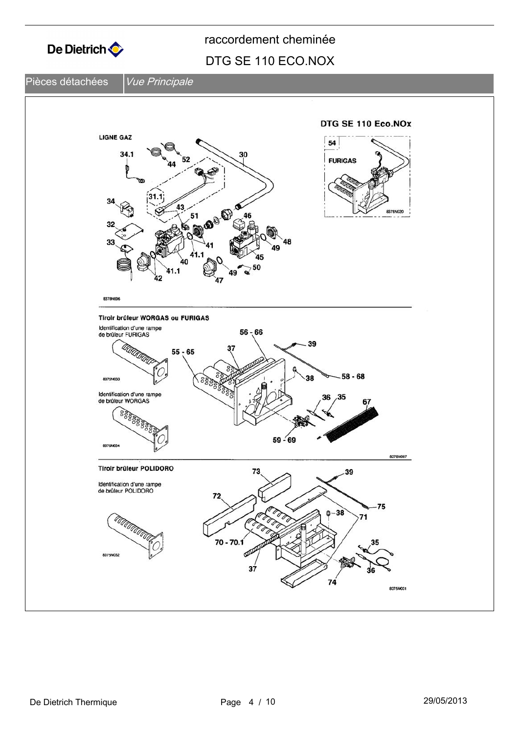

#### Pièces détachées *Vue Principale*

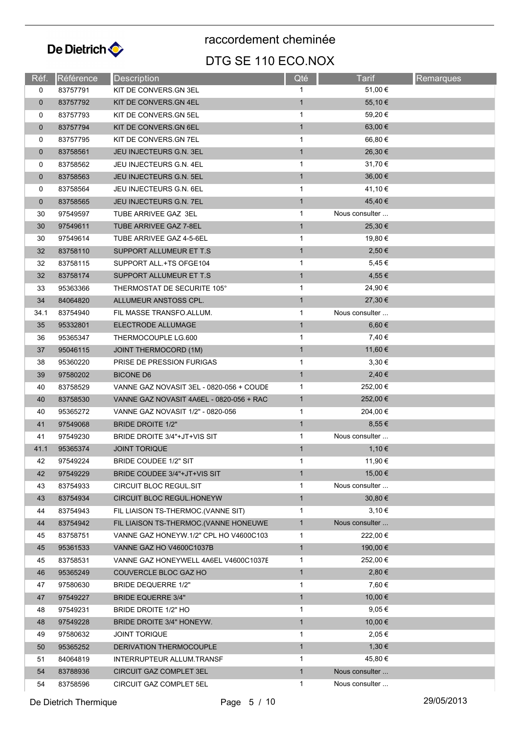

| Réf.        | Référence | Description                              | Qté          | Tarif          | Remarques |
|-------------|-----------|------------------------------------------|--------------|----------------|-----------|
| 0           | 83757791  | KIT DE CONVERS.GN 3EL                    | 1            | 51,00 €        |           |
| $\mathbf 0$ | 83757792  | KIT DE CONVERS.GN 4EL                    | $\mathbf{1}$ | 55,10 €        |           |
| 0           | 83757793  | KIT DE CONVERS.GN 5EL                    | $\mathbf{1}$ | 59,20 €        |           |
| $\mathbf 0$ | 83757794  | KIT DE CONVERS.GN 6EL                    | $\mathbf{1}$ | 63,00 €        |           |
| 0           | 83757795  | KIT DE CONVERS.GN 7EL                    | 1            | 66,80 €        |           |
| $\mathbf 0$ | 83758561  | <b>JEU INJECTEURS G.N. 3EL</b>           | $\mathbf{1}$ | 26,30 €        |           |
| 0           | 83758562  | JEU INJECTEURS G.N. 4EL                  | 1            | 31,70 €        |           |
| $\mathbf 0$ | 83758563  | JEU INJECTEURS G.N. 5EL                  | $\mathbf{1}$ | 36,00 €        |           |
| 0           | 83758564  | JEU INJECTEURS G.N. 6EL                  | $\mathbf{1}$ | 41,10 €        |           |
| $\mathbf 0$ | 83758565  | <b>JEU INJECTEURS G.N. 7EL</b>           | $\mathbf{1}$ | 45,40 €        |           |
| 30          | 97549597  | TUBE ARRIVEE GAZ 3EL                     | $\mathbf{1}$ | Nous consulter |           |
| 30          | 97549611  | TUBE ARRIVEE GAZ 7-8EL                   | $\mathbf{1}$ | 25,30 €        |           |
| 30          | 97549614  | TUBE ARRIVEE GAZ 4-5-6EL                 | $\mathbf{1}$ | 19,80 €        |           |
| 32          | 83758110  | SUPPORT ALLUMEUR ET T.S                  | $\mathbf{1}$ | 2,50 €         |           |
| 32          | 83758115  | SUPPORT ALL +TS OFGE104                  | 1            | 5,45€          |           |
| 32          | 83758174  | SUPPORT ALLUMEUR ET T.S.                 | $\mathbf{1}$ | 4,55 €         |           |
| 33          | 95363366  | THERMOSTAT DE SECURITE 105°              | $\mathbf{1}$ | 24,90 €        |           |
| 34          | 84064820  | ALLUMEUR ANSTOSS CPL.                    | $\mathbf{1}$ | 27,30 €        |           |
| 34.1        | 83754940  | FIL MASSE TRANSFO.ALLUM.                 | 1            | Nous consulter |           |
| 35          | 95332801  | ELECTRODE ALLUMAGE                       | $\mathbf{1}$ | 6,60 €         |           |
| 36          | 95365347  | THERMOCOUPLE LG.600                      | 1            | 7,40 €         |           |
| 37          | 95046115  | <b>JOINT THERMOCORD (1M)</b>             | $\mathbf{1}$ | 11,60 €        |           |
| 38          | 95360220  | PRISE DE PRESSION FURIGAS                | 1            | 3,30€          |           |
| 39          | 97580202  | <b>BICONE D6</b>                         | $\mathbf{1}$ | 2,40€          |           |
| 40          | 83758529  | VANNE GAZ NOVASIT 3EL - 0820-056 + COUDE | $\mathbf{1}$ | 252,00 €       |           |
| 40          | 83758530  | VANNE GAZ NOVASIT 4A6EL - 0820-056 + RAC | $\mathbf{1}$ | 252,00 €       |           |
| 40          | 95365272  | VANNE GAZ NOVASIT 1/2" - 0820-056        | $\mathbf{1}$ | 204,00 €       |           |
| 41          | 97549068  | <b>BRIDE DROITE 1/2"</b>                 | $\mathbf{1}$ | 8,55 €         |           |
| 41          | 97549230  | BRIDE DROITE 3/4"+JT+VIS SIT             | 1            | Nous consulter |           |
| 41.1        | 95365374  | <b>JOINT TORIQUE</b>                     | $\mathbf{1}$ | 1,10€          |           |
| 42          | 97549224  | BRIDE COUDEE 1/2" SIT                    | 1            | 11,90 €        |           |
| 42          | 97549229  | BRIDE COUDEE 3/4"+JT+VIS SIT             | $\mathbf{1}$ | 15,00 €        |           |
| 43          | 83754933  | CIRCUIT BLOC REGUL.SIT                   | 1            | Nous consulter |           |
| 43          | 83754934  | CIRCUIT BLOC REGUL.HONEYW                | $\mathbf{1}$ | 30,80 €        |           |
| 44          | 83754943  | FIL LIAISON TS-THERMOC. (VANNE SIT)      | 1            | 3,10€          |           |
| 44          | 83754942  | FIL LIAISON TS-THERMOC.(VANNE HONEUWE    | $\mathbf{1}$ | Nous consulter |           |
| 45          | 83758751  | VANNE GAZ HONEYW.1/2" CPL HO V4600C103   | 1            | 222,00 €       |           |
| 45          | 95361533  | VANNE GAZ HO V4600C1037B                 | $\mathbf{1}$ | 190,00 €       |           |
|             | 83758531  | VANNE GAZ HONEYWELL 4A6EL V4600C1037E    | $\mathbf{1}$ | 252,00 €       |           |
| 45<br>46    | 95365249  | COUVERCLE BLOC GAZ HO                    | $\mathbf{1}$ | 2,80€          |           |
|             |           |                                          | 1            | 7,60 €         |           |
| 47          | 97580630  | <b>BRIDE DEQUERRE 1/2"</b>               | $\mathbf{1}$ | 10,00 €        |           |
| 47          | 97549227  | <b>BRIDE EQUERRE 3/4"</b>                |              | $9,05 \in$     |           |
| 48          | 97549231  | BRIDE DROITE 1/2" HO                     | $\mathbf{1}$ |                |           |
| 48          | 97549228  | BRIDE DROITE 3/4" HONEYW.                | $\mathbf{1}$ | 10,00 €        |           |
| 49          | 97580632  | JOINT TORIQUE                            | 1            | 2,05 €         |           |
| 50          | 95365252  | DERIVATION THERMOCOUPLE                  | $\mathbf{1}$ | 1,30€          |           |
| 51          | 84064819  | INTERRUPTEUR ALLUM.TRANSF                | 1            | 45,80 €        |           |
| 54          | 83788936  | CIRCUIT GAZ COMPLET 3EL                  | $\mathbf{1}$ | Nous consulter |           |
| 54          | 83758596  | CIRCUIT GAZ COMPLET 5EL                  | $\mathbf{1}$ | Nous consulter |           |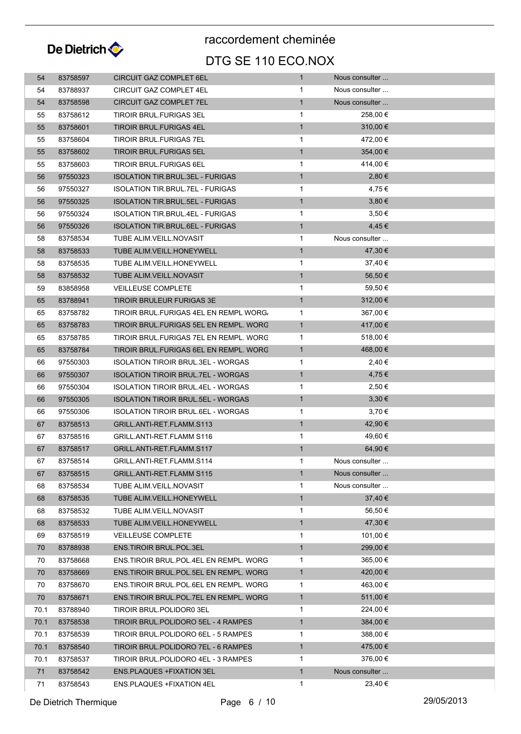

| 54   | 83758597 | <b>CIRCUIT GAZ COMPLET 6EL</b>            | 1            | Nous consulter |  |
|------|----------|-------------------------------------------|--------------|----------------|--|
| 54   | 83788937 | CIRCUIT GAZ COMPLET 4EL                   | 1            | Nous consulter |  |
| 54   | 83758598 | CIRCUIT GAZ COMPLET 7EL                   | $\mathbf{1}$ | Nous consulter |  |
| 55   | 83758612 | TIROIR BRUL.FURIGAS 3EL                   | $\mathbf 1$  | 258,00 €       |  |
| 55   | 83758601 | <b>TIROIR BRUL FURIGAS 4EL</b>            | $\mathbf{1}$ | 310,00 €       |  |
| 55   | 83758604 | TIROIR BRUL FURIGAS 7EL                   | $\mathbf{1}$ | 472,00 €       |  |
| 55   | 83758602 | <b>TIROIR BRUL FURIGAS 5EL</b>            | $\mathbf{1}$ | 354,00 €       |  |
| 55   | 83758603 | TIROIR BRUL.FURIGAS 6EL                   | $\mathbf{1}$ | 414,00 €       |  |
| 56   | 97550323 | <b>ISOLATION TIR.BRUL.3EL - FURIGAS</b>   | $\mathbf{1}$ | 2,80€          |  |
| 56   | 97550327 | <b>ISOLATION TIR.BRUL.7EL - FURIGAS</b>   | 1            | 4,75 €         |  |
| 56   | 97550325 | ISOLATION TIR.BRUL.5EL - FURIGAS          | $\mathbf{1}$ | 3,80€          |  |
| 56   | 97550324 | <b>ISOLATION TIR.BRUL.4EL - FURIGAS</b>   | $\mathbf{1}$ | 3,50€          |  |
| 56   | 97550326 | <b>ISOLATION TIR.BRUL.6EL - FURIGAS</b>   | $\mathbf{1}$ | 4,45 €         |  |
| 58   | 83758534 | TUBE ALIM.VEILL.NOVASIT                   | 1            | Nous consulter |  |
| 58   | 83758533 | TUBE ALIM.VEILL.HONEYWELL                 | $\mathbf{1}$ | 47,30 €        |  |
| 58   | 83758535 | TUBE ALIM VEILL HONEYWELL                 | $\mathbf{1}$ | 37,40 €        |  |
| 58   | 83758532 | TUBE ALIM.VEILL.NOVASIT                   | $\mathbf{1}$ | 56,50 €        |  |
| 59   | 83858958 | <b>VEILLEUSE COMPLETE</b>                 | $\mathbf 1$  | 59,50 €        |  |
| 65   | 83788941 | TIROIR BRULEUR FURIGAS 3E                 | $\mathbf{1}$ | 312,00 €       |  |
| 65   | 83758782 | TIROIR BRUL.FURIGAS 4EL EN REMPL WORG.    | $\mathbf{1}$ | 367,00 €       |  |
| 65   | 83758783 | TIROIR BRUL FURIGAS 5EL EN REMPL. WORC    | $\mathbf{1}$ | 417,00 €       |  |
| 65   | 83758785 | TIROIR BRUL.FURIGAS 7EL EN REMPL. WORC    | $\mathbf{1}$ | 518,00 €       |  |
| 65   | 83758784 | TIROIR BRUL.FURIGAS 6EL EN REMPL. WORC    | $\mathbf{1}$ | 468,00 €       |  |
| 66   | 97550303 | ISOLATION TIROIR BRUL.3EL - WORGAS        | $\mathbf 1$  | 2,40 €         |  |
| 66   | 97550307 | ISOLATION TIROIR BRUL.7EL - WORGAS        | $\mathbf{1}$ | 4,75 €         |  |
| 66   | 97550304 | <b>ISOLATION TIROIR BRUL.4EL - WORGAS</b> | $\mathbf 1$  | 2,50 €         |  |
| 66   | 97550305 | <b>ISOLATION TIROIR BRUL.5EL - WORGAS</b> | $\mathbf{1}$ | 3,30€          |  |
| 66   | 97550306 | ISOLATION TIROIR BRUL.6EL - WORGAS        | $\mathbf{1}$ | 3,70€          |  |
| 67   | 83758513 | GRILL.ANTI-RET.FLAMM.S113                 | $\mathbf{1}$ | 42,90 €        |  |
| 67   | 83758516 | GRILL.ANTI-RET.FLAMM S116                 | $\mathbf{1}$ | 49,60 €        |  |
| 67   | 83758517 | GRILL.ANTI-RET.FLAMM.S117                 | $\mathbf{1}$ | 64,90 €        |  |
| 67   | 83758514 | GRILL.ANTI-RET.FLAMM.S114                 | 1            | Nous consulter |  |
| 67   | 83758515 | GRILL.ANTI-RET.FLAMM S115                 | $\mathbf{1}$ | Nous consulter |  |
| 68   | 83758534 | TUBE ALIM.VEILL.NOVASIT                   | 1            | Nous consulter |  |
| 68   | 83758535 | TUBE ALIM.VEILL.HONEYWELL                 | $\mathbf{1}$ | 37,40 €        |  |
| 68   | 83758532 | TUBE ALIM VEILL NOVASIT                   | $\mathbf{1}$ | 56,50 €        |  |
| 68   | 83758533 | TUBE ALIM. VEILL. HONEYWELL               | $\mathbf{1}$ | 47,30 €        |  |
| 69   | 83758519 | <b>VEILLEUSE COMPLETE</b>                 | $\mathbf 1$  | 101,00 €       |  |
| 70   | 83788938 | ENS.TIROIR BRUL.POL.3EL                   | $\mathbf{1}$ | 299,00 €       |  |
| 70   | 83758668 | ENS.TIROIR BRUL.POL.4EL EN REMPL. WORG    | $\mathbf 1$  | 365,00 €       |  |
| 70   | 83758669 | ENS. TIROIR BRUL. POL. 5EL EN REMPL. WORG | $\mathbf{1}$ | 420,00 €       |  |
| 70   | 83758670 | ENS.TIROIR BRUL.POL.6EL EN REMPL. WORG    | $\mathbf{1}$ | 463,00 €       |  |
| 70   | 83758671 | ENS.TIROIR BRUL.POL.7EL EN REMPL. WORG    | $\mathbf{1}$ | 511,00 €       |  |
| 70.1 | 83788940 | TIROIR BRUL.POLIDOR0 3EL                  | $\mathbf{1}$ | 224,00 €       |  |
| 70.1 | 83758538 | TIROIR BRUL.POLIDORO 5EL - 4 RAMPES       | $\mathbf{1}$ | $384,00 \in$   |  |
| 70.1 | 83758539 | TIROIR BRUL.POLIDORO 6EL - 5 RAMPES       | $\mathbf{1}$ | 388,00 €       |  |
| 70.1 | 83758540 | TIROIR BRUL.POLIDORO 7EL - 6 RAMPES       | $\mathbf{1}$ | 475,00 €       |  |
| 70.1 | 83758537 | TIROIR BRUL.POLIDORO 4EL - 3 RAMPES       | $\mathbf{1}$ | 376,00 €       |  |
| 71   | 83758542 | ENS.PLAQUES +FIXATION 3EL                 | $\mathbf{1}$ | Nous consulter |  |
|      |          |                                           |              | 23,40 €        |  |
| 71   | 83758543 | ENS.PLAQUES +FIXATION 4EL                 | $\mathbf 1$  |                |  |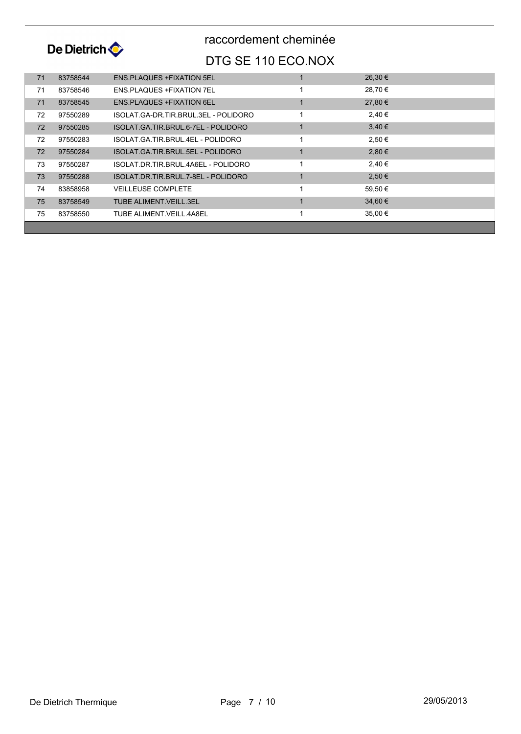

| 71 | 83758544 | <b>ENS PLAQUES + FIXATION 5EL</b>    | 26,30 €     |  |
|----|----------|--------------------------------------|-------------|--|
| 71 | 83758546 | <b>ENS PLAQUES + FIXATION 7EL</b>    | 28.70 €     |  |
| 71 | 83758545 | <b>ENS PLAQUES + FIXATION 6EL</b>    | 27.80 €     |  |
| 72 | 97550289 | ISOLAT GA-DR TIR BRUL 3EL - POLIDORO | 2.40€       |  |
| 72 | 97550285 | ISOLAT GA TIR BRUL 6-7EL - POLIDORO  | $3.40 \in$  |  |
| 72 | 97550283 | ISOLAT GA TIR BRUL 4EL - POLIDORO    | 2,50 €      |  |
| 72 | 97550284 | ISOLAT GA TIR BRUL 5EL - POLIDORO    | 2.80€       |  |
| 73 | 97550287 | ISOLAT DR TIR BRUL 4A6EL - POLIDORO  | 2.40€       |  |
| 73 | 97550288 | ISOLAT.DR.TIR.BRUL.7-8EL - POLIDORO  | 2.50€       |  |
| 74 | 83858958 | <b>VEILLEUSE COMPLETE</b>            | 59.50 €     |  |
| 75 | 83758549 | TUBE ALIMENT VEILL.3EL               | $34.60 \in$ |  |
| 75 | 83758550 | TUBE ALIMENT VEILL 4A8EL             | 35,00 €     |  |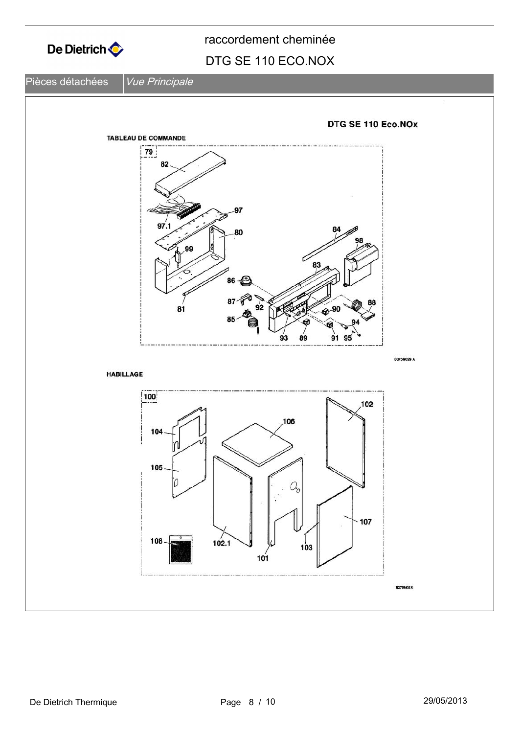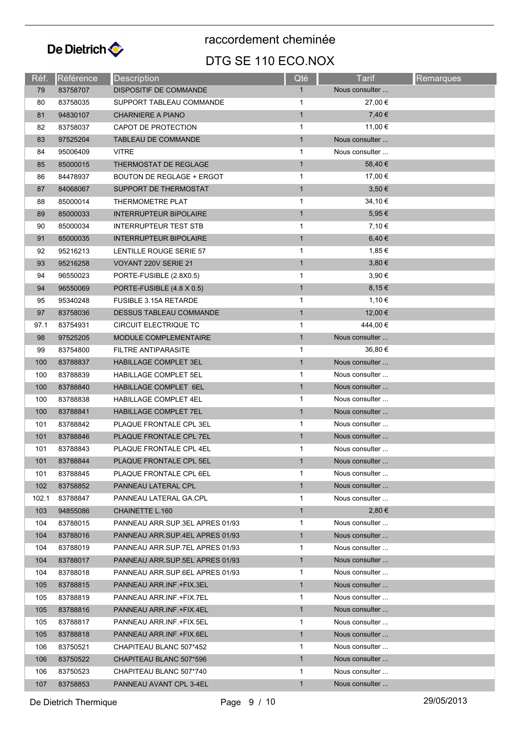

raccordement cheminée

#### DTG SE 110 ECO.NOX

| Réf.  | Référence | <b>Description</b>               | Qté          | Tarif          | Remarques |
|-------|-----------|----------------------------------|--------------|----------------|-----------|
| 79    | 83758707  | <b>DISPOSITIF DE COMMANDE</b>    | $\mathbf{1}$ | Nous consulter |           |
| 80    | 83758035  | SUPPORT TABLEAU COMMANDE         | 1            | 27,00 €        |           |
| 81    | 94830107  | <b>CHARNIERE A PIANO</b>         | $\mathbf{1}$ | 7,40 €         |           |
| 82    | 83758037  | CAPOT DE PROTECTION              | $\mathbf{1}$ | 11,00 €        |           |
| 83    | 97525204  | TABLEAU DE COMMANDE              | $\mathbf{1}$ | Nous consulter |           |
| 84    | 95006409  | <b>VITRE</b>                     | $\mathbf{1}$ | Nous consulter |           |
| 85    | 85000015  | <b>THERMOSTAT DE REGLAGE</b>     | $\mathbf{1}$ | 58,40 €        |           |
| 86    | 84478937  | <b>BOUTON DE REGLAGE + ERGOT</b> | 1            | 17,00 €        |           |
| 87    | 84068067  | SUPPORT DE THERMOSTAT            | $\mathbf{1}$ | 3,50 €         |           |
| 88    | 85000014  | THERMOMETRE PLAT                 | $\mathbf{1}$ | 34,10€         |           |
| 89    | 85000033  | <b>INTERRUPTEUR BIPOLAIRE</b>    | $\mathbf{1}$ | 5,95 €         |           |
| 90    | 85000034  | INTERRUPTEUR TEST STB            | 1            | 7,10 €         |           |
| 91    | 85000035  | <b>INTERRUPTEUR BIPOLAIRE</b>    | $\mathbf{1}$ | 6,40 €         |           |
| 92    | 95216213  | LENTILLE ROUGE SERIE 57          | 1            | 1,85 €         |           |
| 93    | 95216258  | VOYANT 220V SERIE 21             | $\mathbf{1}$ | 3,80 €         |           |
| 94    | 96550023  | PORTE-FUSIBLE (2.8X0.5)          | 1            | 3,90 €         |           |
| 94    | 96550069  | PORTE-FUSIBLE (4.8 X 0.5)        | $\mathbf{1}$ | 8,15€          |           |
| 95    | 95340248  | <b>FUSIBLE 3.15A RETARDE</b>     | 1            | 1,10 €         |           |
| 97    | 83758036  | DESSUS TABLEAU COMMANDE          | $\mathbf{1}$ | 12,00 €        |           |
| 97.1  | 83754931  | CIRCUIT ELECTRIQUE TC            | 1            | 444,00 €       |           |
| 98    | 97525205  | MODULE COMPLEMENTAIRE            | $\mathbf{1}$ | Nous consulter |           |
| 99    | 83754800  | FILTRE ANTIPARASITE              | 1            | 36,80 €        |           |
| 100   | 83788837  | <b>HABILLAGE COMPLET 3EL</b>     | $\mathbf{1}$ | Nous consulter |           |
| 100   | 83788839  | HABILLAGE COMPLET 5EL            | 1            | Nous consulter |           |
| 100   | 83788840  | HABILLAGE COMPLET 6EL            | $\mathbf{1}$ | Nous consulter |           |
| 100   | 83788838  | HABILLAGE COMPLET 4EL            | $\mathbf{1}$ | Nous consulter |           |
| 100   | 83788841  | HABILLAGE COMPLET 7EL            | $\mathbf{1}$ | Nous consulter |           |
| 101   | 83788842  | PLAQUE FRONTALE CPL 3EL          | $\mathbf{1}$ | Nous consulter |           |
| 101   | 83788846  | PLAQUE FRONTALE CPL 7EL          | $\mathbf{1}$ | Nous consulter |           |
| 101   | 83788843  | PLAQUE FRONTALE CPL 4EL          | 1            | Nous consulter |           |
| 101   | 83788844  | PLAQUE FRONTALE CPL 5EL          | $\mathbf{1}$ | Nous consulter |           |
| 101   | 83788845  | PLAQUE FRONTALE CPL 6EL          | 1            | Nous consulter |           |
| 102   | 83758852  | PANNEAU LATERAL CPL              | $\mathbf{1}$ | Nous consulter |           |
| 102.1 | 83788847  | PANNEAU LATERAL GA.CPL           | 1            | Nous consulter |           |
| 103   | 94855086  | CHAINETTE L.160                  | $\mathbf{1}$ | 2,80€          |           |
| 104   | 83788015  | PANNEAU ARR.SUP.3EL APRES 01/93  | $\mathbf{1}$ | Nous consulter |           |
| 104   | 83788016  | PANNEAU ARR.SUP.4EL APRES 01/93  | $\mathbf{1}$ | Nous consulter |           |
| 104   | 83788019  | PANNEAU ARR.SUP.7EL APRES 01/93  | 1            | Nous consulter |           |
| 104   | 83788017  | PANNEAU ARR.SUP.5EL APRES 01/93  | $\mathbf{1}$ | Nous consulter |           |
| 104   | 83788018  | PANNEAU ARR.SUP.6EL APRES 01/93  | $\mathbf{1}$ | Nous consulter |           |
| 105   | 83788815  | PANNEAU ARR INF. +FIX.3EL        | $\mathbf{1}$ | Nous consulter |           |
| 105   | 83788819  | PANNEAU ARR INF +FIX.7EL         | 1            | Nous consulter |           |
| 105   | 83788816  | PANNEAU ARR INF +FIX 4EL         | $\mathbf{1}$ | Nous consulter |           |
| 105   | 83788817  | PANNEAU ARR.INF.+FIX.5EL         | 1            | Nous consulter |           |
| 105   | 83788818  | PANNEAU ARR.INF.+FIX.6EL         | $\mathbf{1}$ | Nous consulter |           |
| 106   | 83750521  | CHAPITEAU BLANC 507*452          | $\mathbf{1}$ | Nous consulter |           |
| 106   | 83750522  | CHAPITEAU BLANC 507*596          | $\mathbf{1}$ | Nous consulter |           |
| 106   | 83750523  | CHAPITEAU BLANC 507*740          | 1            | Nous consulter |           |
| 107   | 83758853  | PANNEAU AVANT CPL 3-4EL          | 1            | Nous consulter |           |